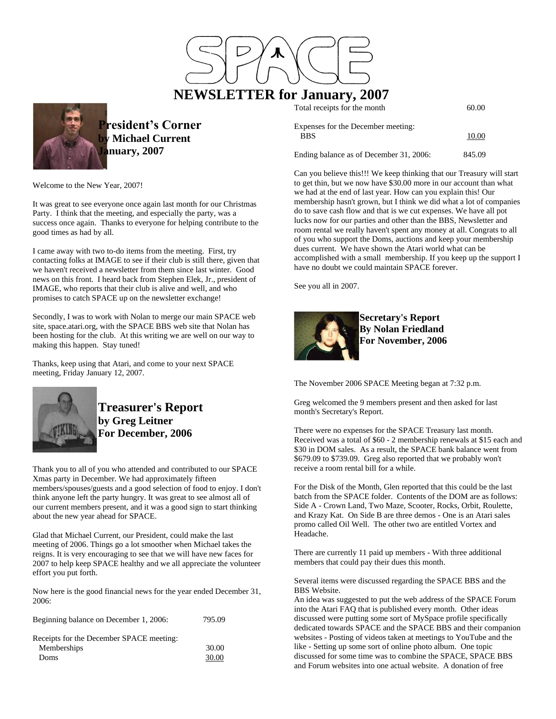

# **NEWSLETTER for January, 2007**

| Total receipts for the month                     | 60.00  |
|--------------------------------------------------|--------|
| Expenses for the December meeting:<br><b>BBS</b> | 10.00  |
| Ending balance as of December 31, 2006:          | 845.09 |

Welcome to the New Year, 2007!

It was great to see everyone once again last month for our Christmas Party. I think that the meeting, and especially the party, was a success once again. Thanks to everyone for helping contribute to the good times as had by all.

**President's Corner by Michael Current**

**January, 2007**

I came away with two to-do items from the meeting. First, try contacting folks at IMAGE to see if their club is still there, given that we haven't received a newsletter from them since last winter. Good news on this front. I heard back from Stephen Elek, Jr., president of IMAGE, who reports that their club is alive and well, and who promises to catch SPACE up on the newsletter exchange!

Secondly, I was to work with Nolan to merge our main SPACE web site, space.atari.org, with the SPACE BBS web site that Nolan has been hosting for the club. At this writing we are well on our way to making this happen. Stay tuned!

Thanks, keep using that Atari, and come to your next SPACE meeting, Friday January 12, 2007.



**Treasurer's Report by Greg Leitner For December, 2006**

Thank you to all of you who attended and contributed to our SPACE Xmas party in December. We had approximately fifteen members/spouses/guests and a good selection of food to enjoy. I don't think anyone left the party hungry. It was great to see almost all of our current members present, and it was a good sign to start thinking about the new year ahead for SPACE.

Glad that Michael Current, our President, could make the last meeting of 2006. Things go a lot smoother when Michael takes the reigns. It is very encouraging to see that we will have new faces for 2007 to help keep SPACE healthy and we all appreciate the volunteer effort you put forth.

Now here is the good financial news for the year ended December 31, 2006:

| Beginning balance on December 1, 2006:                          | 795.09         |
|-----------------------------------------------------------------|----------------|
| Receipts for the December SPACE meeting:<br>Memberships<br>Doms | 30.00<br>30.00 |

Can you believe this!!! We keep thinking that our Treasury will start to get thin, but we now have \$30.00 more in our account than what we had at the end of last year. How can you explain this! Our membership hasn't grown, but I think we did what a lot of companies do to save cash flow and that is we cut expenses. We have all pot lucks now for our parties and other than the BBS, Newsletter and room rental we really haven't spent any money at all. Congrats to all of you who support the Doms, auctions and keep your membership dues current. We have shown the Atari world what can be accomplished with a small membership. If you keep up the support I have no doubt we could maintain SPACE forever.

See you all in 2007.



**Secretary's Report By Nolan Friedland For November, 2006**

The November 2006 SPACE Meeting began at 7:32 p.m.

Greg welcomed the 9 members present and then asked for last month's Secretary's Report.

There were no expenses for the SPACE Treasury last month. Received was a total of \$60 - 2 membership renewals at \$15 each and \$30 in DOM sales. As a result, the SPACE bank balance went from \$679.09 to \$739.09. Greg also reported that we probably won't receive a room rental bill for a while.

For the Disk of the Month, Glen reported that this could be the last batch from the SPACE folder. Contents of the DOM are as follows: Side A - Crown Land, Two Maze, Scooter, Rocks, Orbit, Roulette, and Krazy Kat. On Side B are three demos - One is an Atari sales promo called Oil Well. The other two are entitled Vortex and Headache.

There are currently 11 paid up members - With three additional members that could pay their dues this month.

Several items were discussed regarding the SPACE BBS and the BBS Website.

An idea was suggested to put the web address of the SPACE Forum into the Atari FAQ that is published every month. Other ideas discussed were putting some sort of MySpace profile specifically dedicated towards SPACE and the SPACE BBS and their companion websites - Posting of videos taken at meetings to YouTube and the like - Setting up some sort of online photo album. One topic discussed for some time was to combine the SPACE, SPACE BBS and Forum websites into one actual website. A donation of free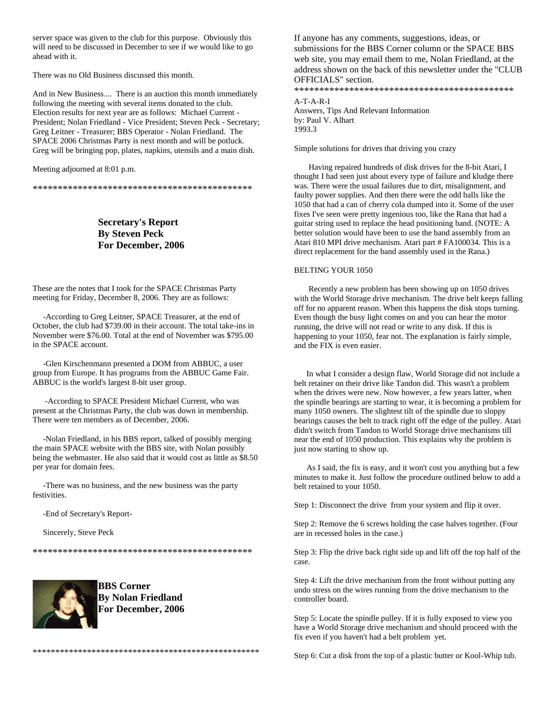server space was given to the club for this purpose. Obviously this will need to be discussed in December to see if we would like to go ahead with it.

There was no Old Business discussed this month.

And in New Business.... There is an auction this month immediately following the meeting with several items donated to the club. Election results for next year are as follows: Michael Current - President; Nolan Friedland - Vice President; Steven Peck - Secretary; Greg Leitner - Treasurer; BBS Operator - Nolan Friedland. The SPACE 2006 Christmas Party is next month and will be potluck. Greg will be bringing pop, plates, napkins, utensils and a main dish.

Meeting adjourned at 8:01 p.m.

\*\*\*\*\*\*\*\*\*\*\*\*\*\*\*\*\*\*\*\*\*\*\*\*\*\*\*\*\*\*\*\*\*\*\*\*\*\*\*\*\*\*\*\*

**Secretary's Report By Steven Peck For December, 2006**

These are the notes that I took for the SPACE Christmas Party meeting for Friday, December 8, 2006. They are as follows:

 -According to Greg Leitner, SPACE Treasurer, at the end of October, the club had \$739.00 in their account. The total take-ins in November were \$76.00. Total at the end of November was \$795.00 in the SPACE account.

 -Glen Kirschenmann presented a DOM from ABBUC, a user group from Europe. It has programs from the ABBUC Game Fair. ABBUC is the world's largest 8-bit user group.

 -According to SPACE President Michael Current, who was present at the Christmas Party, the club was down in membership. There were ten members as of December, 2006.

 -Nolan Friedland, in his BBS report, talked of possibly merging the main SPACE website with the BBS site, with Nolan possibly being the webmaster. He also said that it would cost as little as \$8.50 per year for domain fees.

 -There was no business, and the new business was the party festivities.

-End of Secretary's Report-

Sincerely, Steve Peck

\*\*\*\*\*\*\*\*\*\*\*\*\*\*\*\*\*\*\*\*\*\*\*\*\*\*\*\*\*\*\*\*\*\*\*\*\*\*\*\*\*\*\*\*



**BBS Corner By Nolan Friedland For December, 2006**

\*\*\*\*\*\*\*\*\*\*\*\*\*\*\*\*\*\*\*\*\*\*\*\*\*\*\*\*\*\*\*\*\*\*\*\*\*\*\*\*\*\*\*\*\*\*\*\*\*\*

If anyone has any comments, suggestions, ideas, or submissions for the BBS Corner column or the SPACE BBS web site, you may email them to me, Nolan Friedland, at the address shown on the back of this newsletter under the "CLUB OFFICIALS" section. \*\*\*\*\*\*\*\*\*\*\*\*\*\*\*\*\*\*\*\*\*\*\*\*\*\*\*\*\*\*\*\*\*\*\*\*\*\*\*\*\*\*\*\*

A-T-A-R-I Answers, Tips And Relevant Information by: Paul V. Alhart 1993.3

Simple solutions for drives that driving you crazy

 Having repaired hundreds of disk drives for the 8-bit Atari, I thought I had seen just about every type of failure and kludge there was. There were the usual failures due to dirt, misalignment, and faulty power supplies. And then there were the odd balls like the 1050 that had a can of cherry cola dumped into it. Some of the user fixes I've seen were pretty ingenious too, like the Rana that had a guitar string used to replace the head positioning band. (NOTE: A better solution would have been to use the band assembly from an Atari 810 MPI drive mechanism. Atari part # FA100034. This is a direct replacement for the band assembly used in the Rana.)

## BELTING YOUR 1050

 Recently a new problem has been showing up on 1050 drives with the World Storage drive mechanism. The drive belt keeps falling off for no apparent reason. When this happens the disk stops turning. Even though the busy light comes on and you can hear the motor running, the drive will not read or write to any disk. If this is happening to your 1050, fear not. The explanation is fairly simple, and the FIX is even easier.

 In what I consider a design flaw, World Storage did not include a belt retainer on their drive like Tandon did. This wasn't a problem when the drives were new. Now however, a few years latter, when the spindle bearings are starting to wear, it is becoming a problem for many 1050 owners. The slightest tilt of the spindle due to sloppy bearings causes the belt to track right off the edge of the pulley. Atari didn't switch from Tandon to World Storage drive mechanisms till near the end of 1050 production. This explains why the problem is just now starting to show up.

 As I said, the fix is easy, and it won't cost you anything but a few minutes to make it. Just follow the procedure outlined below to add a belt retained to your 1050.

Step 1: Disconnect the drive from your system and flip it over.

Step 2: Remove the 6 screws holding the case halves together. (Four are in recessed holes in the case.)

Step 3: Flip the drive back right side up and lift off the top half of the case.

Step 4: Lift the drive mechanism from the front without putting any undo stress on the wires running from the drive mechanism to the controller board.

Step 5: Locate the spindle pulley. If it is fully exposed to view you have a World Storage drive mechanism and should proceed with the fix even if you haven't had a belt problem yet.

Step 6: Cut a disk from the top of a plastic butter or Kool-Whip tub.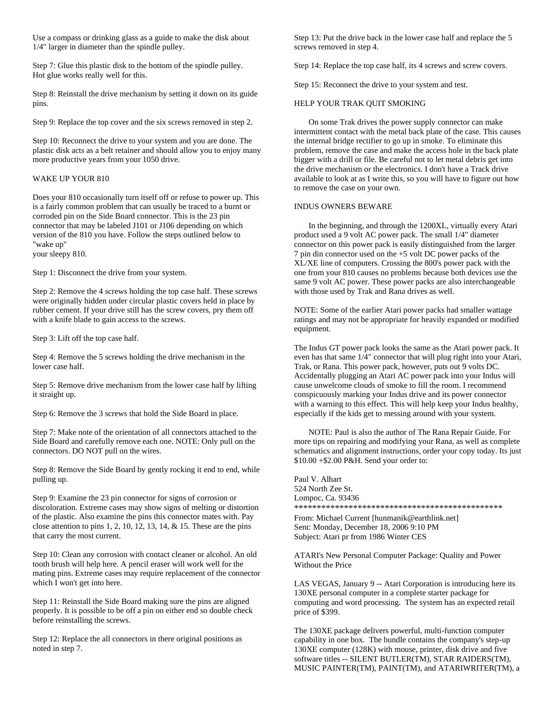Use a compass or drinking glass as a guide to make the disk about 1/4" larger in diameter than the spindle pulley.

Step 7: Glue this plastic disk to the bottom of the spindle pulley. Hot glue works really well for this.

Step 8: Reinstall the drive mechanism by setting it down on its guide pins.

Step 9: Replace the top cover and the six screws removed in step 2.

Step 10: Reconnect the drive to your system and you are done. The plastic disk acts as a belt retainer and should allow you to enjoy many more productive years from your 1050 drive.

## WAKE UP YOUR 810

Does your 810 occasionally turn itself off or refuse to power up. This is a fairly common problem that can usually be traced to a burnt or corroded pin on the Side Board connector. This is the 23 pin connector that may be labeled J101 or J106 depending on which version of the 810 you have. Follow the steps outlined below to "wake up"

your sleepy 810.

Step 1: Disconnect the drive from your system.

Step 2: Remove the 4 screws holding the top case half. These screws were originally hidden under circular plastic covers held in place by rubber cement. If your drive still has the screw covers, pry them off with a knife blade to gain access to the screws.

Step 3: Lift off the top case half.

Step 4: Remove the 5 screws holding the drive mechanism in the lower case half.

Step 5: Remove drive mechanism from the lower case half by lifting it straight up.

Step 6: Remove the 3 screws that hold the Side Board in place.

Step 7: Make note of the orientation of all connectors attached to the Side Board and carefully remove each one. NOTE: Only pull on the connectors. DO NOT pull on the wires.

Step 8: Remove the Side Board by gently rocking it end to end, while pulling up.

Step 9: Examine the 23 pin connector for signs of corrosion or discoloration. Extreme cases may show signs of melting or distortion of the plastic. Also examine the pins this connector mates with. Pay close attention to pins 1, 2, 10, 12, 13, 14, & 15. These are the pins that carry the most current.

Step 10: Clean any corrosion with contact cleaner or alcohol. An old tooth brush will help here. A pencil eraser will work well for the mating pins. Extreme cases may require replacement of the connector which I won't get into here.

Step 11: Reinstall the Side Board making sure the pins are aligned properly. It is possible to be off a pin on either end so double check before reinstalling the screws.

Step 12: Replace the all connectors in there original positions as noted in step 7.

Step 13: Put the drive back in the lower case half and replace the 5 screws removed in step 4.

Step 14: Replace the top case half, its 4 screws and screw covers.

Step 15: Reconnect the drive to your system and test.

## HELP YOUR TRAK QUIT SMOKING

 On some Trak drives the power supply connector can make intermittent contact with the metal back plate of the case. This causes the internal bridge rectifier to go up in smoke. To eliminate this problem, remove the case and make the access hole in the back plate bigger with a drill or file. Be careful not to let metal debris get into the drive mechanism or the electronics. I don't have a Track drive available to look at as I write this, so you will have to figure out how to remove the case on your own.

## INDUS OWNERS BEWARE

 In the beginning, and through the 1200XL, virtually every Atari product used a 9 volt AC power pack. The small 1/4" diameter connector on this power pack is easily distinguished from the larger 7 pin din connector used on the +5 volt DC power packs of the XL/XE line of computers. Crossing the 800's power pack with the one from your 810 causes no problems because both devices use the same 9 volt AC power. These power packs are also interchangeable with those used by Trak and Rana drives as well.

NOTE: Some of the earlier Atari power packs had smaller wattage ratings and may not be appropriate for heavily expanded or modified equipment.

The Indus GT power pack looks the same as the Atari power pack. It even has that same 1/4" connector that will plug right into your Atari, Trak, or Rana. This power pack, however, puts out 9 volts DC. Accidentally plugging an Atari AC power pack into your Indus will cause unwelcome clouds of smoke to fill the room. I recommend conspicuously marking your Indus drive and its power connector with a warning to this effect. This will help keep your Indus healthy, especially if the kids get to messing around with your system.

 NOTE: Paul is also the author of The Rana Repair Guide. For more tips on repairing and modifying your Rana, as well as complete schematics and alignment instructions, order your copy today. Its just \$10.00 +\$2.00 P&H. Send your order to:

Paul V. Alhart 524 North Zee St. Lompoc, Ca. 93436 \*\*\*\*\*\*\*\*\*\*\*\*\*\*\*\*\*\*\*\*\*\*\*\*\*\*\*\*\*\*\*\*\*\*\*\*\*\*\*\*\*\*\*\*\*\*

From: Michael Current [hunmanik@earthlink.net] Sent: Monday, December 18, 2006 9:10 PM Subject: Atari pr from 1986 Winter CES

ATARI's New Personal Computer Package: Quality and Power Without the Price

LAS VEGAS, January 9 -- Atari Corporation is introducing here its 130XE personal computer in a complete starter package for computing and word processing. The system has an expected retail price of \$399.

The 130XE package delivers powerful, multi-function computer capability in one box. The bundle contains the company's step-up 130XE computer (128K) with mouse, printer, disk drive and five software titles -- SILENT BUTLER(TM), STAR RAIDERS(TM), MUSIC PAINTER(TM), PAINT(TM), and ATARIWRITER(TM), a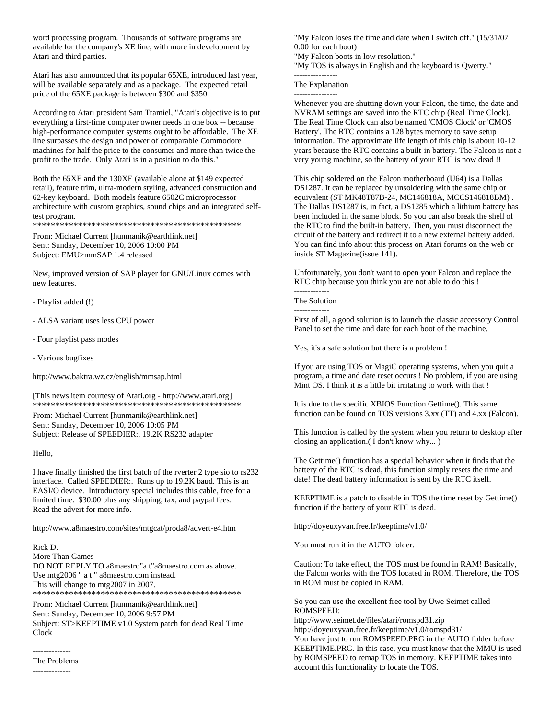word processing program. Thousands of software programs are available for the company's XE line, with more in development by Atari and third parties.

Atari has also announced that its popular 65XE, introduced last year, will be available separately and as a package. The expected retail price of the 65XE package is between \$300 and \$350.

According to Atari president Sam Tramiel, "Atari's objective is to put everything a first-time computer owner needs in one box -- because high-performance computer systems ought to be affordable. The XE line surpasses the design and power of comparable Commodore machines for half the price to the consumer and more than twice the profit to the trade. Only Atari is in a position to do this."

Both the 65XE and the 130XE (available alone at \$149 expected retail), feature trim, ultra-modern styling, advanced construction and 62-key keyboard. Both models feature 6502C microprocessor architecture with custom graphics, sound chips and an integrated selftest program.

\*\*\*\*\*\*\*\*\*\*\*\*\*\*\*\*\*\*\*\*\*\*\*\*\*\*\*\*\*\*\*\*\*\*\*\*\*\*\*\*\*\*\*\*\*\*

From: Michael Current [hunmanik@earthlink.net] Sent: Sunday, December 10, 2006 10:00 PM Subject: EMU>mmSAP 1.4 released

New, improved version of SAP player for GNU/Linux comes with new features.

- Playlist added (!)

- ALSA variant uses less CPU power

- Four playlist pass modes
- Various bugfixes

http://www.baktra.wz.cz/english/mmsap.html

[This news item courtesy of Atari.org - http://www.atari.org] \*\*\*\*\*\*\*\*\*\*\*\*\*\*\*\*\*\*\*\*\*\*\*\*\*\*\*\*\*\*\*\*\*\*\*\*\*\*\*\*\*\*\*\*\*\*

From: Michael Current [hunmanik@earthlink.net] Sent: Sunday, December 10, 2006 10:05 PM Subject: Release of SPEEDIER:, 19.2K RS232 adapter

Hello,

I have finally finished the first batch of the rverter 2 type sio to rs232 interface. Called SPEEDIER:. Runs up to 19.2K baud. This is an EASI/O device. Introductory special includes this cable, free for a limited time. \$30.00 plus any shipping, tax, and paypal fees. Read the advert for more info.

http://www.a8maestro.com/sites/mtgcat/proda8/advert-e4.htm

Rick D. More Than Games

DO NOT REPLY TO a8maestro"a t"a8maestro.com as above. Use mtg2006 " a t " a8maestro.com instead. This will change to mtg2007 in 2007. \*\*\*\*\*\*\*\*\*\*\*\*\*\*\*\*\*\*\*\*\*\*\*\*\*\*\*\*\*\*\*\*\*\*\*\*\*\*\*\*\*\*\*\*\*\*

From: Michael Current [hunmanik@earthlink.net] Sent: Sunday, December 10, 2006 9:57 PM Subject: ST>KEEPTIME v1.0 System patch for dead Real Time Clock

-------------- The Problems

--------------

"My Falcon loses the time and date when I switch off." (15/31/07 0:00 for each boot)

"My Falcon boots in low resolution."

"My TOS is always in English and the keyboard is Qwerty."

#### ---------------- The Explanation

----------------

Whenever you are shutting down your Falcon, the time, the date and NVRAM settings are saved into the RTC chip (Real Time Clock). The Real Time Clock can also be named 'CMOS Clock' or 'CMOS Battery'. The RTC contains a 128 bytes memory to save setup information. The approximate life length of this chip is about 10-12 years because the RTC contains a built-in battery. The Falcon is not a very young machine, so the battery of your RTC is now dead !!

This chip soldered on the Falcon motherboard (U64) is a Dallas DS1287. It can be replaced by unsoldering with the same chip or equivalent (ST MK48T87B-24, MC146818A, MCCS146818BM) . The Dallas DS1287 is, in fact, a DS1285 which a lithium battery has been included in the same block. So you can also break the shell of the RTC to find the built-in battery. Then, you must disconnect the circuit of the battery and redirect it to a new external battery added. You can find info about this process on Atari forums on the web or inside ST Magazine(issue 141).

Unfortunately, you don't want to open your Falcon and replace the RTC chip because you think you are not able to do this !

The Solution

-------------

First of all, a good solution is to launch the classic accessory Control Panel to set the time and date for each boot of the machine.

Yes, it's a safe solution but there is a problem !

If you are using TOS or MagiC operating systems, when you quit a program, a time and date reset occurs ! No problem, if you are using Mint OS. I think it is a little bit irritating to work with that !

It is due to the specific XBIOS Function Gettime(). This same function can be found on TOS versions 3.xx (TT) and 4.xx (Falcon).

This function is called by the system when you return to desktop after closing an application.( I don't know why... )

The Gettime() function has a special behavior when it finds that the battery of the RTC is dead, this function simply resets the time and date! The dead battery information is sent by the RTC itself.

KEEPTIME is a patch to disable in TOS the time reset by Gettime() function if the battery of your RTC is dead.

http://doyeuxyvan.free.fr/keeptime/v1.0/

You must run it in the AUTO folder.

Caution: To take effect, the TOS must be found in RAM! Basically, the Falcon works with the TOS located in ROM. Therefore, the TOS in ROM must be copied in RAM.

So you can use the excellent free tool by Uwe Seimet called ROMSPEED:

http://www.seimet.de/files/atari/romspd31.zip http://doyeuxyvan.free.fr/keeptime/v1.0/romspd31/ You have just to run ROMSPEED.PRG in the AUTO folder before KEEPTIME.PRG. In this case, you must know that the MMU is used by ROMSPEED to remap TOS in memory. KEEPTIME takes into account this functionality to locate the TOS.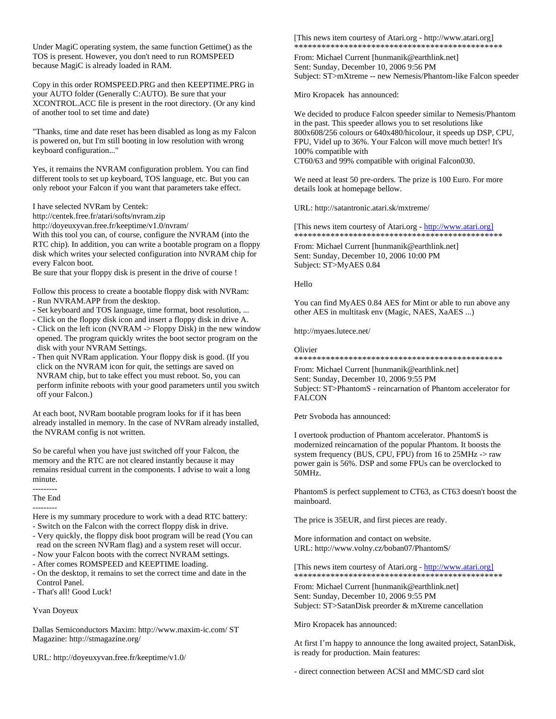Under MagiC operating system, the same function Gettime() as the TOS is present. However, you don't need to run ROMSPEED because MagiC is already loaded in RAM.

Copy in this order ROMSPEED.PRG and then KEEPTIME.PRG in your AUTO folder (Generally C:AUTO). Be sure that your XCONTROL.ACC file is present in the root directory. (Or any kind of another tool to set time and date)

"Thanks, time and date reset has been disabled as long as my Falcon is powered on, but I'm still booting in low resolution with wrong keyboard configuration..."

Yes, it remains the NVRAM configuration problem. You can find different tools to set up keyboard, TOS language, etc. But you can only reboot your Falcon if you want that parameters take effect.

## I have selected NVRam by Centek:

http://centek.free.fr/atari/softs/nvram.zip

http://doyeuxyvan.free.fr/keeptime/v1.0/nvram/

With this tool you can, of course, configure the NVRAM (into the RTC chip). In addition, you can write a bootable program on a floppy disk which writes your selected configuration into NVRAM chip for every Falcon boot.

Be sure that your floppy disk is present in the drive of course !

Follow this process to create a bootable floppy disk with NVRam:

- Run NVRAM.APP from the desktop.
- Set keyboard and TOS language, time format, boot resolution, ...
- Click on the floppy disk icon and insert a floppy disk in drive A.
- Click on the left icon (NVRAM -> Floppy Disk) in the new window opened. The program quickly writes the boot sector program on the disk with your NVRAM Settings.
- Then quit NVRam application. Your floppy disk is good. (If you click on the NVRAM icon for quit, the settings are saved on NVRAM chip, but to take effect you must reboot. So, you can perform infinite reboots with your good parameters until you switch off your Falcon.)

At each boot, NVRam bootable program looks for if it has been already installed in memory. In the case of NVRam already installed, the NVRAM config is not written.

So be careful when you have just switched off your Falcon, the memory and the RTC are not cleared instantly because it may remains residual current in the components. I advise to wait a long minute.

--------- The End

---------

Here is my summary procedure to work with a dead RTC battery:

- Switch on the Falcon with the correct floppy disk in drive. - Very quickly, the floppy disk boot program will be read (You can
- read on the screen NVRam flag) and a system reset will occur. - Now your Falcon boots with the correct NVRAM settings.
- After comes ROMSPEED and KEEPTIME loading.
- On the desktop, it remains to set the correct time and date in the Control Panel.
- That's all! Good Luck!
- 

## Yvan Doyeux

Dallas Semiconductors Maxim: http://www.maxim-ic.com/ ST Magazine: http://stmagazine.org/

URL: http://doyeuxyvan.free.fr/keeptime/v1.0/

[This news item courtesy of Atari.org - http://www.atari.org] \*\*\*\*\*\*\*\*\*\*\*\*\*\*\*\*\*\*\*\*\*\*\*\*\*\*\*\*\*\*\*\*\*\*\*\*\*\*\*\*\*\*\*\*\*\*

From: Michael Current [hunmanik@earthlink.net] Sent: Sunday, December 10, 2006 9:56 PM Subject: ST>mXtreme -- new Nemesis/Phantom-like Falcon speeder

Miro Kropacek has announced:

We decided to produce Falcon speeder similar to Nemesis/Phantom in the past. This speeder allows you to set resolutions like 800x608/256 colours or 640x480/hicolour, it speeds up DSP, CPU, FPU, Videl up to 36%. Your Falcon will move much better! It's 100% compatible with CT60/63 and 99% compatible with original Falcon030.

We need at least 50 pre-orders. The prize is 100 Euro. For more details look at homepage bellow.

URL: http://satantronic.atari.sk/mxtreme/

[This news item courtesy of Atari.org - http://www.atari.org] \*\*\*\*\*\*\*\*\*\*\*\*\*\*\*\*\*\*\*\*\*\*\*\*\*\*\*\*\*\*\*\*\*\*\*\*\*\*\*\*\*\*\*\*\*\*

From: Michael Current [hunmanik@earthlink.net] Sent: Sunday, December 10, 2006 10:00 PM Subject: ST>MyAES 0.84

## Hello

You can find MyAES 0.84 AES for Mint or able to run above any other AES in multitask env (Magic, NAES, XaAES ...)

http://myaes.lutece.net/

Olivier

\*\*\*\*\*\*\*\*\*\*\*\*\*\*\*\*\*\*\*\*\*\*\*\*\*\*\*\*\*\*\*\*\*\*\*\*\*\*\*\*\*\*\*\*\*\*

From: Michael Current [hunmanik@earthlink.net] Sent: Sunday, December 10, 2006 9:55 PM Subject: ST>PhantomS - reincarnation of Phantom accelerator for **FALCON** 

Petr Svoboda has announced:

I overtook production of Phantom accelerator. PhantomS is modernized reincarnation of the popular Phantom. It boosts the system frequency (BUS, CPU, FPU) from 16 to 25MHz -> raw power gain is 56%. DSP and some FPUs can be overclocked to 50MHz.

PhantomS is perfect supplement to CT63, as CT63 doesn't boost the mainboard.

The price is 35EUR, and first pieces are ready.

More information and contact on website. URL: http://www.volny.cz/boban07/PhantomS/

[This news item courtesy of Atari.org - http://www.atari.org] \*\*\*\*\*\*\*\*\*\*\*\*\*\*\*\*\*\*\*\*\*\*\*\*\*\*\*\*\*\*\*\*\*\*\*\*\*\*\*\*\*\*\*\*\*\*

From: Michael Current [hunmanik@earthlink.net] Sent: Sunday, December 10, 2006 9:55 PM Subject: ST>SatanDisk preorder & mXtreme cancellation

Miro Kropacek has announced:

At first I'm happy to announce the long awaited project, SatanDisk, is ready for production. Main features:

- direct connection between ACSI and MMC/SD card slot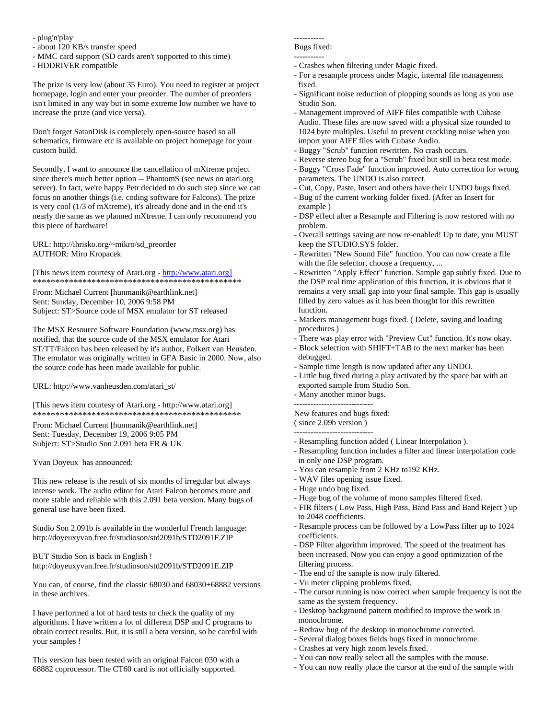- plug'n'play
- about 120 KB/s transfer speed
- MMC card support (SD cards aren't supported to this time)
- HDDRIVER compatible

The prize is very low (about 35 Euro). You need to register at project homepage, login and enter your preorder. The number of preorders isn't limited in any way but in some extreme low number we have to increase the prize (and vice versa).

Don't forget SatanDisk is completely open-source based so all schematics, firmware etc is available on project homepage for your custom build.

Secondly, I want to announce the cancellation of mXtreme project since there's much better option -- PhantomS (see news on atari.org server). In fact, we're happy Petr decided to do such step since we can focus on another things (i.e. coding software for Falcons). The prize is very cool (1/3 of mXtreme), it's already done and in the end it's nearly the same as we planned mXtreme. I can only recommend you this piece of hardware!

URL: http://ihrisko.org/~mikro/sd\_preorder AUTHOR: Miro Kropacek

[This news item courtesy of Atari.org - http://www.atari.org] \*\*\*\*\*\*\*\*\*\*\*\*\*\*\*\*\*\*\*\*\*\*\*\*\*\*\*\*\*\*\*\*\*\*\*\*\*\*\*\*\*\*\*\*\*\*

From: Michael Current [hunmanik@earthlink.net] Sent: Sunday, December 10, 2006 9:58 PM Subject: ST>Source code of MSX emulator for ST released

The MSX Resource Software Foundation (www.msx.org) has notified, that the source code of the MSX emulator for Atari ST/TT/Falcon has been released by it's author, Folkert van Heusden. The emulator was originally written in GFA Basic in 2000. Now, also the source code has been made available for public.

URL: http://www.vanheusden.com/atari\_st/

[This news item courtesy of Atari.org - http://www.atari.org] \*\*\*\*\*\*\*\*\*\*\*\*\*\*\*\*\*\*\*\*\*\*\*\*\*\*\*\*\*\*\*\*\*\*\*\*\*\*\*\*\*\*\*\*\*\*

From: Michael Current [hunmanik@earthlink.net] Sent: Tuesday, December 19, 2006 9:05 PM Subject: ST>Studio Son 2.091 beta FR & UK

Yvan Doyeux has announced:

This new release is the result of six months of irregular but always intense work. The audio editor for Atari Falcon becomes more and more stable and reliable with this 2.091 beta version. Many bugs of general use have been fixed.

Studio Son 2.091b is available in the wonderful French language: http://doyeuxyvan.free.fr/studioson/std2091b/STD2091F.ZIP

BUT Studio Son is back in English ! http://doyeuxyvan.free.fr/studioson/std2091b/STD2091E.ZIP

You can, of course, find the classic 68030 and 68030+68882 versions in these archives.

I have performed a lot of hard tests to check the quality of my algorithms. I have written a lot of different DSP and C programs to obtain correct results. But, it is still a beta version, so be careful with your samples !

This version has been tested with an original Falcon 030 with a 68882 coprocessor. The CT60 card is not officially supported.

## -----------

### Bugs fixed: -----------

- Crashes when filtering under Magic fixed.
- For a resample process under Magic, internal file management fixed.
- Significant noise reduction of plopping sounds as long as you use Studio Son.
- Management improved of AIFF files compatible with Cubase Audio. These files are now saved with a physical size rounded to 1024 byte multiples. Useful to prevent crackling noise when you import your AIFF files with Cubase Audio.
- Buggy "Scrub" function rewritten. No crash occurs.
- Reverse stereo bug for a "Scrub" fixed but still in beta test mode.
- Buggy "Cross Fade" function improved. Auto correction for wrong parameters. The UNDO is also correct.
- Cut, Copy, Paste, Insert and others have their UNDO bugs fixed.
- Bug of the current working folder fixed. (After an Insert for example )
- DSP effect after a Resample and Filtering is now restored with no problem.
- Overall settings saving are now re-enabled! Up to date, you MUST keep the STUDIO.SYS folder.
- Rewritten "New Sound File" function. You can now create a file with the file selector, choose a frequency, ...
- Rewritten "Apply Effect" function. Sample gap subtly fixed. Due to the DSP real time application of this function, it is obvious that it remains a very small gap into your final sample. This gap is usually filled by zero values as it has been thought for this rewritten function.
- Markers management bugs fixed. ( Delete, saving and loading procedures )
- There was play error with "Preview Cut" function. It's now okay.
- Block selection with SHIFT+TAB to the next marker has been debugged.
- Sample time length is now updated after any UNDO.
- Little bug fixed during a play activated by the space bar with an exported sample from Studio Son.
- Many another minor bugs.

----------------------------- New features and bugs fixed: ( since 2.09b version )

-----------------------------

- Resampling function added ( Linear Interpolation ).
- Resampling function includes a filter and linear interpolation code in only one DSP program.
- You can resample from 2 KHz to192 KHz.
- WAV files opening issue fixed.
- Huge undo bug fixed.
- Huge bug of the volume of mono samples filtered fixed.
- FIR filters ( Low Pass, High Pass, Band Pass and Band Reject ) up to 2048 coefficients.
- Resample process can be followed by a LowPass filter up to 1024 coefficients.
- DSP Filter algorithm improved. The speed of the treatment has been increased. Now you can enjoy a good optimization of the filtering process.
- The end of the sample is now truly filtered.
- Vu meter clipping problems fixed.
- The cursor running is now correct when sample frequency is not the same as the system frequency.
- Desktop background pattern modified to improve the work in monochrome.
- Redraw bug of the desktop in monochrome corrected.
- Several dialog boxes fields bugs fixed in monochrome.
- Crashes at very high zoom levels fixed.
- You can now really select all the samples with the mouse.
- You can now really place the cursor at the end of the sample with